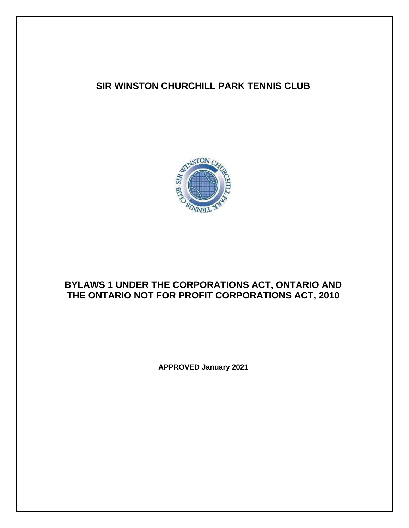# **SIR WINSTON CHURCHILL PARK TENNIS CLUB**



# **BYLAWS 1 UNDER THE CORPORATIONS ACT, ONTARIO AND THE ONTARIO NOT FOR PROFIT CORPORATIONS ACT, 2010**

**APPROVED January 2021**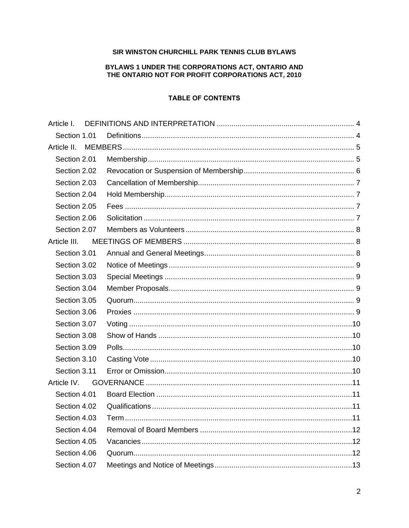### SIR WINSTON CHURCHILL PARK TENNIS CLUB BYLAWS

# BYLAWS 1 UNDER THE CORPORATIONS ACT, ONTARIO AND THE ONTARIO NOT FOR PROFIT CORPORATIONS ACT, 2010

## **TABLE OF CONTENTS**

| Article I.   |  |  |  |  |
|--------------|--|--|--|--|
| Section 1.01 |  |  |  |  |
| Article II.  |  |  |  |  |
| Section 2.01 |  |  |  |  |
| Section 2.02 |  |  |  |  |
| Section 2.03 |  |  |  |  |
| Section 2.04 |  |  |  |  |
| Section 2.05 |  |  |  |  |
| Section 2.06 |  |  |  |  |
| Section 2.07 |  |  |  |  |
| Article III. |  |  |  |  |
| Section 3.01 |  |  |  |  |
| Section 3.02 |  |  |  |  |
| Section 3.03 |  |  |  |  |
| Section 3.04 |  |  |  |  |
| Section 3.05 |  |  |  |  |
| Section 3.06 |  |  |  |  |
| Section 3.07 |  |  |  |  |
| Section 3.08 |  |  |  |  |
| Section 3.09 |  |  |  |  |
| Section 3.10 |  |  |  |  |
| Section 3.11 |  |  |  |  |
| Article IV.  |  |  |  |  |
| Section 4.01 |  |  |  |  |
| Section 4.02 |  |  |  |  |
| Section 4.03 |  |  |  |  |
| Section 4.04 |  |  |  |  |
| Section 4.05 |  |  |  |  |
| Section 4.06 |  |  |  |  |
| Section 4.07 |  |  |  |  |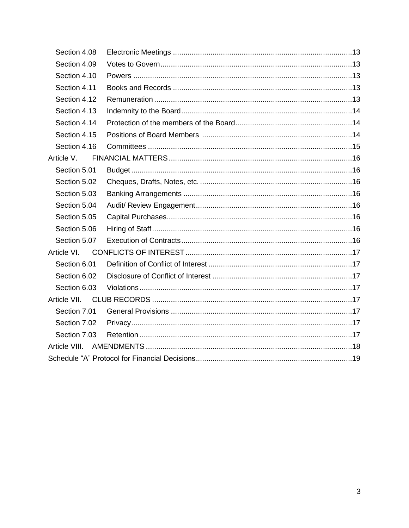| Section 4.08  |  |  |  |  |  |
|---------------|--|--|--|--|--|
| Section 4.09  |  |  |  |  |  |
| Section 4.10  |  |  |  |  |  |
| Section 4.11  |  |  |  |  |  |
| Section 4.12  |  |  |  |  |  |
| Section 4.13  |  |  |  |  |  |
| Section 4.14  |  |  |  |  |  |
| Section 4.15  |  |  |  |  |  |
| Section 4.16  |  |  |  |  |  |
| Article V.    |  |  |  |  |  |
| Section 5.01  |  |  |  |  |  |
| Section 5.02  |  |  |  |  |  |
| Section 5.03  |  |  |  |  |  |
| Section 5.04  |  |  |  |  |  |
| Section 5.05  |  |  |  |  |  |
| Section 5.06  |  |  |  |  |  |
| Section 5.07  |  |  |  |  |  |
| Article VI.   |  |  |  |  |  |
| Section 6.01  |  |  |  |  |  |
| Section 6.02  |  |  |  |  |  |
| Section 6.03  |  |  |  |  |  |
|               |  |  |  |  |  |
| Section 7.01  |  |  |  |  |  |
| Section 7.02  |  |  |  |  |  |
| Section 7.03  |  |  |  |  |  |
| Article VIII. |  |  |  |  |  |
|               |  |  |  |  |  |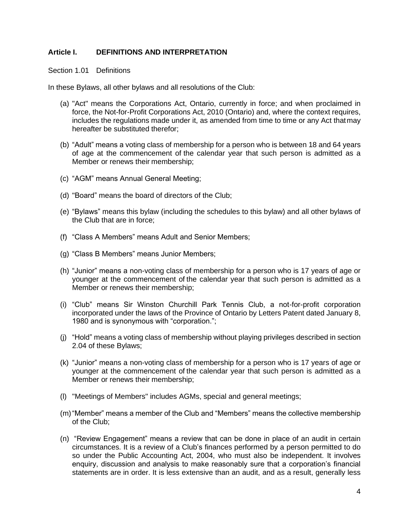# <span id="page-3-0"></span>**Article I. DEFINITIONS AND INTERPRETATION**

#### <span id="page-3-1"></span>Section 1.01 Definitions

In these Bylaws, all other bylaws and all resolutions of the Club:

- (a) "Act" means the Corporations Act, Ontario, currently in force; and when proclaimed in force, the Not-for-Profit Corporations Act, 2010 (Ontario) and, where the context requires, includes the regulations made under it, as amended from time to time or any Act thatmay hereafter be substituted therefor;
- (b) "Adult" means a voting class of membership for a person who is between 18 and 64 years of age at the commencement of the calendar year that such person is admitted as a Member or renews their membership;
- (c) "AGM" means Annual General Meeting;
- (d) "Board" means the board of directors of the Club;
- (e) "Bylaws" means this bylaw (including the schedules to this bylaw) and all other bylaws of the Club that are in force;
- (f) "Class A Members" means Adult and Senior Members;
- (g) "Class B Members" means Junior Members;
- (h) "Junior" means a non-voting class of membership for a person who is 17 years of age or younger at the commencement of the calendar year that such person is admitted as a Member or renews their membership;
- (i) "Club" means Sir Winston Churchill Park Tennis Club, a not-for-profit corporation incorporated under the laws of the Province of Ontario by Letters Patent dated January 8, 1980 and is synonymous with "corporation.";
- (j) "Hold" means a voting class of membership without playing privileges described in section 2.04 of these Bylaws;
- (k) "Junior" means a non-voting class of membership for a person who is 17 years of age or younger at the commencement of the calendar year that such person is admitted as a Member or renews their membership;
- (l) "Meetings of Members" includes AGMs, special and general meetings;
- (m)"Member" means a member of the Club and "Members" means the collective membership of the Club;
- (n) "Review Engagement" means a review that can be done in place of an audit in certain circumstances. It is a review of a Club's finances performed by a person permitted to do so under the Public Accounting Act, 2004, who must also be independent. It involves enquiry, discussion and analysis to make reasonably sure that a corporation's financial statements are in order. It is less extensive than an audit, and as a result, generally less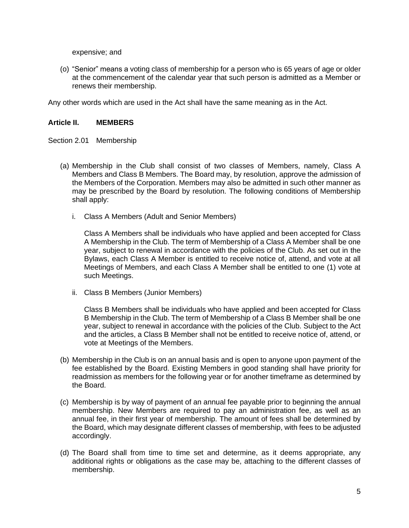expensive; and

(o) "Senior" means a voting class of membership for a person who is 65 years of age or older at the commencement of the calendar year that such person is admitted as a Member or renews their membership.

Any other words which are used in the Act shall have the same meaning as in the Act.

## <span id="page-4-0"></span>**Article II. MEMBERS**

<span id="page-4-1"></span>Section 2.01 Membership

- (a) Membership in the Club shall consist of two classes of Members, namely, Class A Members and Class B Members. The Board may, by resolution, approve the admission of the Members of the Corporation. Members may also be admitted in such other manner as may be prescribed by the Board by resolution. The following conditions of Membership shall apply:
	- i. Class A Members (Adult and Senior Members)

Class A Members shall be individuals who have applied and been accepted for Class A Membership in the Club. The term of Membership of a Class A Member shall be one year, subject to renewal in accordance with the policies of the Club. As set out in the Bylaws, each Class A Member is entitled to receive notice of, attend, and vote at all Meetings of Members, and each Class A Member shall be entitled to one (1) vote at such Meetings.

ii. Class B Members (Junior Members)

Class B Members shall be individuals who have applied and been accepted for Class B Membership in the Club. The term of Membership of a Class B Member shall be one year, subject to renewal in accordance with the policies of the Club. Subject to the Act and the articles, a Class B Member shall not be entitled to receive notice of, attend, or vote at Meetings of the Members.

- (b) Membership in the Club is on an annual basis and is open to anyone upon payment of the fee established by the Board. Existing Members in good standing shall have priority for readmission as members for the following year or for another timeframe as determined by the Board.
- (c) Membership is by way of payment of an annual fee payable prior to beginning the annual membership. New Members are required to pay an administration fee, as well as an annual fee, in their first year of membership. The amount of fees shall be determined by the Board, which may designate different classes of membership, with fees to be adjusted accordingly.
- (d) The Board shall from time to time set and determine, as it deems appropriate, any additional rights or obligations as the case may be, attaching to the different classes of membership.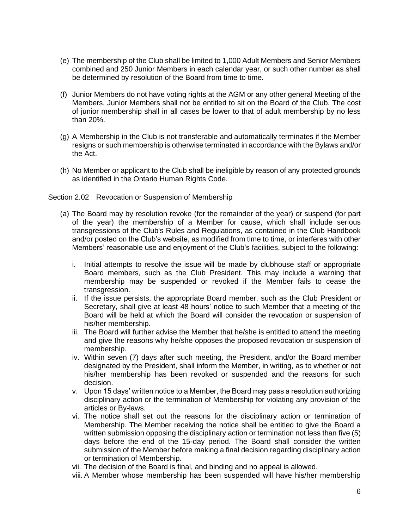- (e) The membership of the Club shall be limited to 1,000 Adult Members and Senior Members combined and 250 Junior Members in each calendar year, or such other number as shall be determined by resolution of the Board from time to time.
- (f) Junior Members do not have voting rights at the AGM or any other general Meeting of the Members. Junior Members shall not be entitled to sit on the Board of the Club. The cost of junior membership shall in all cases be lower to that of adult membership by no less than 20%.
- (g) A Membership in the Club is not transferable and automatically terminates if the Member resigns or such membership is otherwise terminated in accordance with the Bylaws and/or the Act.
- (h) No Member or applicant to the Club shall be ineligible by reason of any protected grounds as identified in the Ontario Human Rights Code.

## <span id="page-5-0"></span>Section 2.02 Revocation or Suspension of Membership

- (a) The Board may by resolution revoke (for the remainder of the year) or suspend (for part of the year) the membership of a Member for cause, which shall include serious transgressions of the Club's Rules and Regulations, as contained in the Club Handbook and/or posted on the Club's website, as modified from time to time, or interferes with other Members' reasonable use and enjoyment of the Club's facilities, subject to the following:
	- i. Initial attempts to resolve the issue will be made by clubhouse staff or appropriate Board members, such as the Club President. This may include a warning that membership may be suspended or revoked if the Member fails to cease the transgression.
	- ii. If the issue persists, the appropriate Board member, such as the Club President or Secretary, shall give at least 48 hours' notice to such Member that a meeting of the Board will be held at which the Board will consider the revocation or suspension of his/her membership.
	- iii. The Board will further advise the Member that he/she is entitled to attend the meeting and give the reasons why he/she opposes the proposed revocation or suspension of membership.
	- iv. Within seven (7) days after such meeting, the President, and/or the Board member designated by the President, shall inform the Member, in writing, as to whether or not his/her membership has been revoked or suspended and the reasons for such decision.
	- v. Upon 15 days' written notice to a Member, the Board may pass a resolution authorizing disciplinary action or the termination of Membership for violating any provision of the articles or By-laws.
	- vi. The notice shall set out the reasons for the disciplinary action or termination of Membership. The Member receiving the notice shall be entitled to give the Board a written submission opposing the disciplinary action or termination not less than five (5) days before the end of the 15-day period. The Board shall consider the written submission of the Member before making a final decision regarding disciplinary action or termination of Membership.
	- vii. The decision of the Board is final, and binding and no appeal is allowed.
	- viii. A Member whose membership has been suspended will have his/her membership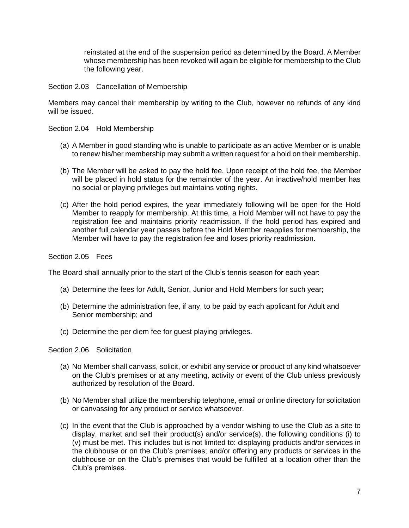reinstated at the end of the suspension period as determined by the Board. A Member whose membership has been revoked will again be eligible for membership to the Club the following year.

<span id="page-6-0"></span>Section 2.03 Cancellation of Membership

Members may cancel their membership by writing to the Club, however no refunds of any kind will be issued.

<span id="page-6-1"></span>Section 2.04 Hold Membership

- (a) A Member in good standing who is unable to participate as an active Member or is unable to renew his/her membership may submit a written request for a hold on their membership.
- (b) The Member will be asked to pay the hold fee. Upon receipt of the hold fee, the Member will be placed in hold status for the remainder of the year. An inactive/hold member has no social or playing privileges but maintains voting rights.
- (c) After the hold period expires, the year immediately following will be open for the Hold Member to reapply for membership. At this time, a Hold Member will not have to pay the registration fee and maintains priority readmission. If the hold period has expired and another full calendar year passes before the Hold Member reapplies for membership, the Member will have to pay the registration fee and loses priority readmission.

<span id="page-6-2"></span>Section 2.05 Fees

The Board shall annually prior to the start of the Club's tennis season for each year:

- (a) Determine the fees for Adult, Senior, Junior and Hold Members for such year;
- (b) Determine the administration fee, if any, to be paid by each applicant for Adult and Senior membership; and
- (c) Determine the per diem fee for guest playing privileges.

<span id="page-6-3"></span>Section 2.06 Solicitation

- (a) No Member shall canvass, solicit, or exhibit any service or product of any kind whatsoever on the Club's premises or at any meeting, activity or event of the Club unless previously authorized by resolution of the Board.
- (b) No Member shall utilize the membership telephone, email or online directory for solicitation or canvassing for any product or service whatsoever.
- (c) In the event that the Club is approached by a vendor wishing to use the Club as a site to display, market and sell their product(s) and/or service(s), the following conditions (i) to (v) must be met. This includes but is not limited to: displaying products and/or services in the clubhouse or on the Club's premises; and/or offering any products or services in the clubhouse or on the Club's premises that would be fulfilled at a location other than the Club's premises.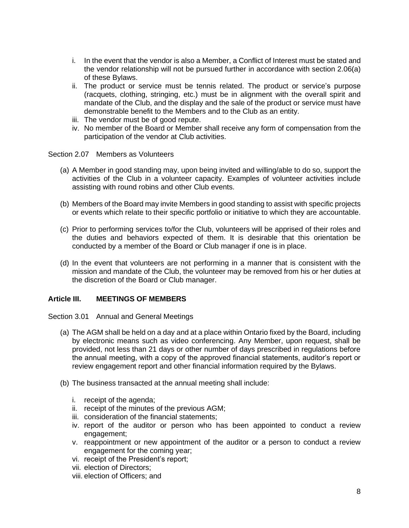- i. In the event that the vendor is also a Member, a Conflict of Interest must be stated and the vendor relationship will not be pursued further in accordance with section 2.06(a) of these Bylaws.
- ii. The product or service must be tennis related. The product or service's purpose (racquets, clothing, stringing, etc.) must be in alignment with the overall spirit and mandate of the Club, and the display and the sale of the product or service must have demonstrable benefit to the Members and to the Club as an entity.
- iii. The vendor must be of good repute.
- iv. No member of the Board or Member shall receive any form of compensation from the participation of the vendor at Club activities.

<span id="page-7-0"></span>Section 2.07 Members as Volunteers

- (a) A Member in good standing may, upon being invited and willing/able to do so, support the activities of the Club in a volunteer capacity. Examples of volunteer activities include assisting with round robins and other Club events.
- (b) Members of the Board may invite Members in good standing to assist with specific projects or events which relate to their specific portfolio or initiative to which they are accountable.
- (c) Prior to performing services to/for the Club, volunteers will be apprised of their roles and the duties and behaviors expected of them. It is desirable that this orientation be conducted by a member of the Board or Club manager if one is in place.
- (d) In the event that volunteers are not performing in a manner that is consistent with the mission and mandate of the Club, the volunteer may be removed from his or her duties at the discretion of the Board or Club manager.

# <span id="page-7-1"></span>**Article III. MEETINGS OF MEMBERS**

#### <span id="page-7-2"></span>Section 3.01 Annual and General Meetings

- (a) The AGM shall be held on a day and at a place within Ontario fixed by the Board, including by electronic means such as video conferencing. Any Member, upon request, shall be provided, not less than 21 days or other number of days prescribed in regulations before the annual meeting, with a copy of the approved financial statements, auditor's report or review engagement report and other financial information required by the Bylaws.
- (b) The business transacted at the annual meeting shall include:
	- i. receipt of the agenda;
	- ii. receipt of the minutes of the previous AGM;
	- iii. consideration of the financial statements;
	- iv. report of the auditor or person who has been appointed to conduct a review engagement;
	- v. reappointment or new appointment of the auditor or a person to conduct a review engagement for the coming year;
	- vi. receipt of the President's report;
	- vii. election of Directors;
	- viii. election of Officers; and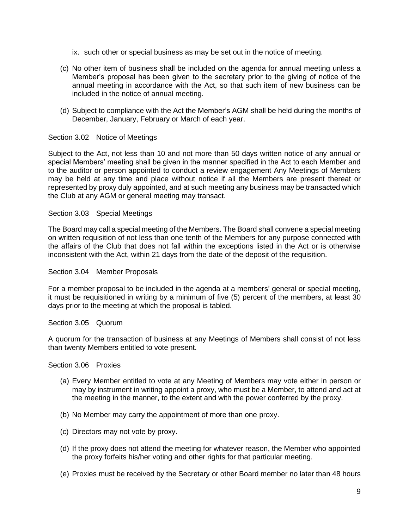- ix. such other or special business as may be set out in the notice of meeting.
- (c) No other item of business shall be included on the agenda for annual meeting unless a Member's proposal has been given to the secretary prior to the giving of notice of the annual meeting in accordance with the Act, so that such item of new business can be included in the notice of annual meeting.
- (d) Subject to compliance with the Act the Member's AGM shall be held during the months of December, January, February or March of each year.

# <span id="page-8-0"></span>Section 3.02 Notice of Meetings

Subject to the Act, not less than 10 and not more than 50 days written notice of any annual or special Members' meeting shall be given in the manner specified in the Act to each Member and to the auditor or person appointed to conduct a review engagement Any Meetings of Members may be held at any time and place without notice if all the Members are present thereat or represented by proxy duly appointed, and at such meeting any business may be transacted which the Club at any AGM or general meeting may transact.

#### <span id="page-8-1"></span>Section 3.03 Special Meetings

The Board may call a special meeting of the Members. The Board shall convene a special meeting on written requisition of not less than one tenth of the Members for any purpose connected with the affairs of the Club that does not fall within the exceptions listed in the Act or is otherwise inconsistent with the Act, within 21 days from the date of the deposit of the requisition.

#### <span id="page-8-2"></span>Section 3.04 Member Proposals

For a member proposal to be included in the agenda at a members' general or special meeting, it must be requisitioned in writing by a minimum of five (5) percent of the members, at least 30 days prior to the meeting at which the proposal is tabled.

## <span id="page-8-3"></span>Section 3.05 Quorum

A quorum for the transaction of business at any Meetings of Members shall consist of not less than twenty Members entitled to vote present.

<span id="page-8-4"></span>Section 3.06 Proxies

- (a) Every Member entitled to vote at any Meeting of Members may vote either in person or may by instrument in writing appoint a proxy, who must be a Member, to attend and act at the meeting in the manner, to the extent and with the power conferred by the proxy.
- (b) No Member may carry the appointment of more than one proxy.
- (c) Directors may not vote by proxy.
- (d) If the proxy does not attend the meeting for whatever reason, the Member who appointed the proxy forfeits his/her voting and other rights for that particular meeting.
- (e) Proxies must be received by the Secretary or other Board member no later than 48 hours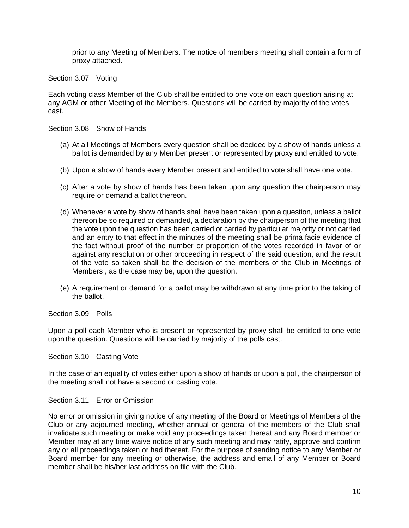prior to any Meeting of Members. The notice of members meeting shall contain a form of proxy attached.

<span id="page-9-0"></span>Section 3.07 Voting

Each voting class Member of the Club shall be entitled to one vote on each question arising at any AGM or other Meeting of the Members. Questions will be carried by majority of the votes cast.

<span id="page-9-1"></span>Section 3.08 Show of Hands

- (a) At all Meetings of Members every question shall be decided by a show of hands unless a ballot is demanded by any Member present or represented by proxy and entitled to vote.
- (b) Upon a show of hands every Member present and entitled to vote shall have one vote.
- (c) After a vote by show of hands has been taken upon any question the chairperson may require or demand a ballot thereon.
- (d) Whenever a vote by show of hands shall have been taken upon a question, unless a ballot thereon be so required or demanded, a declaration by the chairperson of the meeting that the vote upon the question has been carried or carried by particular majority or not carried and an entry to that effect in the minutes of the meeting shall be prima facie evidence of the fact without proof of the number or proportion of the votes recorded in favor of or against any resolution or other proceeding in respect of the said question, and the result of the vote so taken shall be the decision of the members of the Club in Meetings of Members , as the case may be, upon the question.
- (e) A requirement or demand for a ballot may be withdrawn at any time prior to the taking of the ballot.

<span id="page-9-2"></span>Section 3.09 Polls

Upon a poll each Member who is present or represented by proxy shall be entitled to one vote upon the question. Questions will be carried by majority of the polls cast.

<span id="page-9-3"></span>Section 3.10 Casting Vote

In the case of an equality of votes either upon a show of hands or upon a poll, the chairperson of the meeting shall not have a second or casting vote.

#### <span id="page-9-4"></span>Section 3.11 Error or Omission

No error or omission in giving notice of any meeting of the Board or Meetings of Members of the Club or any adjourned meeting, whether annual or general of the members of the Club shall invalidate such meeting or make void any proceedings taken thereat and any Board member or Member may at any time waive notice of any such meeting and may ratify, approve and confirm any or all proceedings taken or had thereat. For the purpose of sending notice to any Member or Board member for any meeting or otherwise, the address and email of any Member or Board member shall be his/her last address on file with the Club.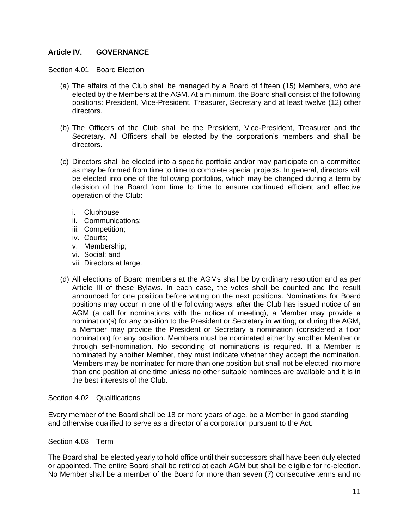# <span id="page-10-0"></span>**Article IV. GOVERNANCE**

<span id="page-10-1"></span>Section 4.01 Board Election

- (a) The affairs of the Club shall be managed by a Board of fifteen (15) Members, who are elected by the Members at the AGM. At a minimum, the Board shall consist of the following positions: President, Vice-President, Treasurer, Secretary and at least twelve (12) other directors.
- (b) The Officers of the Club shall be the President, Vice-President, Treasurer and the Secretary. All Officers shall be elected by the corporation's members and shall be directors.
- (c) Directors shall be elected into a specific portfolio and/or may participate on a committee as may be formed from time to time to complete special projects. In general, directors will be elected into one of the following portfolios, which may be changed during a term by decision of the Board from time to time to ensure continued efficient and effective operation of the Club:
	- i. Clubhouse
	- ii. Communications;
	- iii. Competition;
	- iv. Courts;
	- v. Membership;
	- vi. Social; and
	- vii. Directors at large.
- (d) All elections of Board members at the AGMs shall be by ordinary resolution and as per Article III of these Bylaws. In each case, the votes shall be counted and the result announced for one position before voting on the next positions. Nominations for Board positions may occur in one of the following ways: after the Club has issued notice of an AGM (a call for nominations with the notice of meeting), a Member may provide a nomination(s) for any position to the President or Secretary in writing; or during the AGM, a Member may provide the President or Secretary a nomination (considered a floor nomination) for any position. Members must be nominated either by another Member or through self-nomination. No seconding of nominations is required. If a Member is nominated by another Member, they must indicate whether they accept the nomination. Members may be nominated for more than one position but shall not be elected into more than one position at one time unless no other suitable nominees are available and it is in the best interests of the Club.

<span id="page-10-2"></span>Section 4.02 Qualifications

Every member of the Board shall be 18 or more years of age, be a Member in good standing and otherwise qualified to serve as a director of a corporation pursuant to the Act.

<span id="page-10-3"></span>Section 4.03 Term

The Board shall be elected yearly to hold office until their successors shall have been duly elected or appointed. The entire Board shall be retired at each AGM but shall be eligible for re-election. No Member shall be a member of the Board for more than seven (7) consecutive terms and no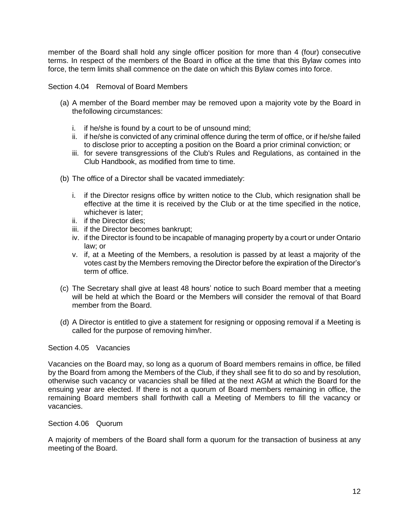member of the Board shall hold any single officer position for more than 4 (four) consecutive terms. In respect of the members of the Board in office at the time that this Bylaw comes into force, the term limits shall commence on the date on which this Bylaw comes into force.

<span id="page-11-0"></span>Section 4.04 Removal of Board Members

- (a) A member of the Board member may be removed upon a majority vote by the Board in thefollowing circumstances:
	- i. if he/she is found by a court to be of unsound mind;
	- ii. if he/she is convicted of any criminal offence during the term of office, or if he/she failed to disclose prior to accepting a position on the Board a prior criminal conviction; or
	- iii. for severe transgressions of the Club's Rules and Regulations, as contained in the Club Handbook, as modified from time to time.
- (b) The office of a Director shall be vacated immediately:
	- i. if the Director resigns office by written notice to the Club, which resignation shall be effective at the time it is received by the Club or at the time specified in the notice, whichever is later;
	- ii. if the Director dies;
	- iii. if the Director becomes bankrupt;
	- iv. if the Director is found to be incapable of managing property by a court or under Ontario law; or
	- v. if, at a Meeting of the Members, a resolution is passed by at least a majority of the votes cast by the Members removing the Director before the expiration of the Director's term of office.
- (c) The Secretary shall give at least 48 hours' notice to such Board member that a meeting will be held at which the Board or the Members will consider the removal of that Board member from the Board.
- (d) A Director is entitled to give a statement for resigning or opposing removal if a Meeting is called for the purpose of removing him/her.

#### <span id="page-11-1"></span>Section 4.05 Vacancies

Vacancies on the Board may, so long as a quorum of Board members remains in office, be filled by the Board from among the Members of the Club, if they shall see fit to do so and by resolution, otherwise such vacancy or vacancies shall be filled at the next AGM at which the Board for the ensuing year are elected. If there is not a quorum of Board members remaining in office, the remaining Board members shall forthwith call a Meeting of Members to fill the vacancy or vacancies.

#### <span id="page-11-2"></span>Section 4.06 Quorum

A majority of members of the Board shall form a quorum for the transaction of business at any meeting of the Board.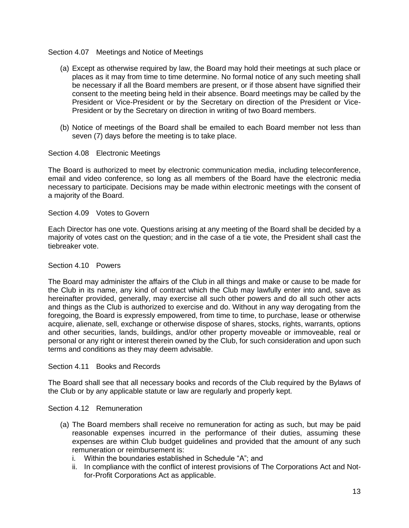## <span id="page-12-0"></span>Section 4.07 Meetings and Notice of Meetings

- (a) Except as otherwise required by law, the Board may hold their meetings at such place or places as it may from time to time determine. No formal notice of any such meeting shall be necessary if all the Board members are present, or if those absent have signified their consent to the meeting being held in their absence. Board meetings may be called by the President or Vice-President or by the Secretary on direction of the President or Vice-President or by the Secretary on direction in writing of two Board members.
- (b) Notice of meetings of the Board shall be emailed to each Board member not less than seven (7) days before the meeting is to take place.

## <span id="page-12-1"></span>Section 4.08 Electronic Meetings

The Board is authorized to meet by electronic communication media, including teleconference, email and video conference, so long as all members of the Board have the electronic media necessary to participate. Decisions may be made within electronic meetings with the consent of a majority of the Board.

#### <span id="page-12-2"></span>Section 4.09 Votes to Govern

Each Director has one vote. Questions arising at any meeting of the Board shall be decided by a majority of votes cast on the question; and in the case of a tie vote, the President shall cast the tiebreaker vote.

#### <span id="page-12-3"></span>Section 4.10 Powers

The Board may administer the affairs of the Club in all things and make or cause to be made for the Club in its name, any kind of contract which the Club may lawfully enter into and, save as hereinafter provided, generally, may exercise all such other powers and do all such other acts and things as the Club is authorized to exercise and do. Without in any way derogating from the foregoing, the Board is expressly empowered, from time to time, to purchase, lease or otherwise acquire, alienate, sell, exchange or otherwise dispose of shares, stocks, rights, warrants, options and other securities, lands, buildings, and/or other property moveable or immoveable, real or personal or any right or interest therein owned by the Club, for such consideration and upon such terms and conditions as they may deem advisable.

#### <span id="page-12-4"></span>Section 4.11 Books and Records

The Board shall see that all necessary books and records of the Club required by the Bylaws of the Club or by any applicable statute or law are regularly and properly kept.

#### <span id="page-12-5"></span>Section 4.12 Remuneration

- (a) The Board members shall receive no remuneration for acting as such, but may be paid reasonable expenses incurred in the performance of their duties, assuming these expenses are within Club budget guidelines and provided that the amount of any such remuneration or reimbursement is:
	- i. Within the boundaries established in Schedule "A"; and
	- ii. In compliance with the conflict of interest provisions of The Corporations Act and Notfor-Profit Corporations Act as applicable.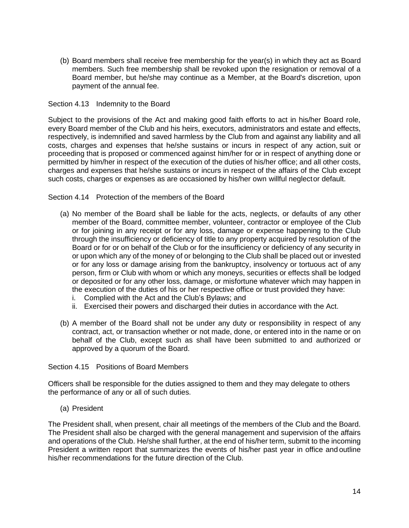(b) Board members shall receive free membership for the year(s) in which they act as Board members. Such free membership shall be revoked upon the resignation or removal of a Board member, but he/she may continue as a Member, at the Board's discretion, upon payment of the annual fee.

## <span id="page-13-0"></span>Section 4.13 Indemnity to the Board

Subject to the provisions of the Act and making good faith efforts to act in his/her Board role, every Board member of the Club and his heirs, executors, administrators and estate and effects, respectively, is indemnified and saved harmless by the Club from and against any liability and all costs, charges and expenses that he/she sustains or incurs in respect of any action, suit or proceeding that is proposed or commenced against him/her for or in respect of anything done or permitted by him/her in respect of the execution of the duties of his/her office; and all other costs, charges and expenses that he/she sustains or incurs in respect of the affairs of the Club except such costs, charges or expenses as are occasioned by his/her own willful neglector default.

## <span id="page-13-1"></span>Section 4.14 Protection of the members of the Board

- (a) No member of the Board shall be liable for the acts, neglects, or defaults of any other member of the Board, committee member, volunteer, contractor or employee of the Club or for joining in any receipt or for any loss, damage or expense happening to the Club through the insufficiency or deficiency of title to any property acquired by resolution of the Board or for or on behalf of the Club or for the insufficiency or deficiency of any security in or upon which any of the money of or belonging to the Club shall be placed out or invested or for any loss or damage arising from the bankruptcy, insolvency or tortuous act of any person, firm or Club with whom or which any moneys, securities or effects shall be lodged or deposited or for any other loss, damage, or misfortune whatever which may happen in the execution of the duties of his or her respective office or trust provided they have:
	- i. Complied with the Act and the Club's Bylaws; and
	- ii. Exercised their powers and discharged their duties in accordance with the Act.
- (b) A member of the Board shall not be under any duty or responsibility in respect of any contract, act, or transaction whether or not made, done, or entered into in the name or on behalf of the Club, except such as shall have been submitted to and authorized or approved by a quorum of the Board.

#### <span id="page-13-2"></span>Section 4.15 Positions of Board Members

Officers shall be responsible for the duties assigned to them and they may delegate to others the performance of any or all of such duties.

(a) President

The President shall, when present, chair all meetings of the members of the Club and the Board. The President shall also be charged with the general management and supervision of the affairs and operations of the Club. He/she shall further, at the end of his/her term, submit to the incoming President a written report that summarizes the events of his/her past year in office and outline his/her recommendations for the future direction of the Club.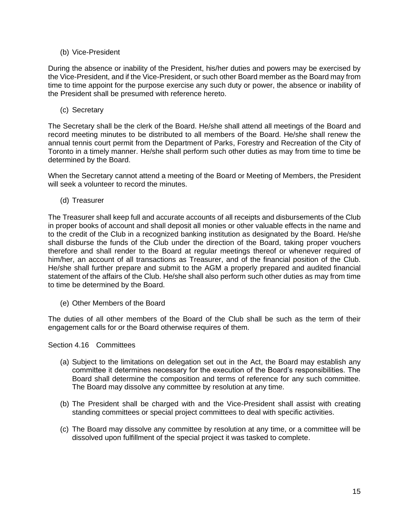# (b) Vice-President

During the absence or inability of the President, his/her duties and powers may be exercised by the Vice-President, and if the Vice-President, or such other Board member as the Board may from time to time appoint for the purpose exercise any such duty or power, the absence or inability of the President shall be presumed with reference hereto.

(c) Secretary

The Secretary shall be the clerk of the Board. He/she shall attend all meetings of the Board and record meeting minutes to be distributed to all members of the Board. He/she shall renew the annual tennis court permit from the Department of Parks, Forestry and Recreation of the City of Toronto in a timely manner. He/she shall perform such other duties as may from time to time be determined by the Board.

When the Secretary cannot attend a meeting of the Board or Meeting of Members, the President will seek a volunteer to record the minutes.

(d) Treasurer

The Treasurer shall keep full and accurate accounts of all receipts and disbursements of the Club in proper books of account and shall deposit all monies or other valuable effects in the name and to the credit of the Club in a recognized banking institution as designated by the Board. He/she shall disburse the funds of the Club under the direction of the Board, taking proper vouchers therefore and shall render to the Board at regular meetings thereof or whenever required of him/her, an account of all transactions as Treasurer, and of the financial position of the Club. He/she shall further prepare and submit to the AGM a properly prepared and audited financial statement of the affairs of the Club. He/she shall also perform such other duties as may from time to time be determined by the Board.

(e) Other Members of the Board

The duties of all other members of the Board of the Club shall be such as the term of their engagement calls for or the Board otherwise requires of them.

<span id="page-14-0"></span>Section 4.16 Committees

- (a) Subject to the limitations on delegation set out in the Act, the Board may establish any committee it determines necessary for the execution of the Board's responsibilities. The Board shall determine the composition and terms of reference for any such committee. The Board may dissolve any committee by resolution at any time.
- (b) The President shall be charged with and the Vice-President shall assist with creating standing committees or special project committees to deal with specific activities.
- (c) The Board may dissolve any committee by resolution at any time, or a committee will be dissolved upon fulfillment of the special project it was tasked to complete.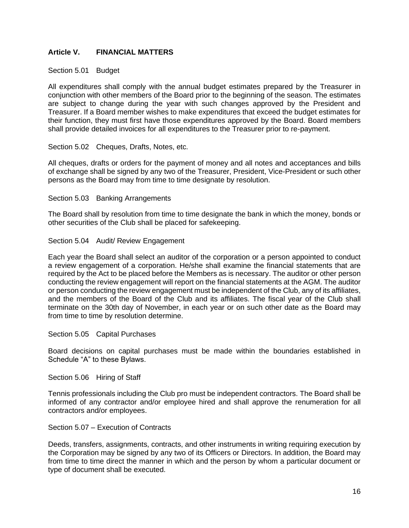# <span id="page-15-0"></span>**Article V. FINANCIAL MATTERS**

## <span id="page-15-1"></span>Section 5.01 Budget

All expenditures shall comply with the annual budget estimates prepared by the Treasurer in conjunction with other members of the Board prior to the beginning of the season. The estimates are subject to change during the year with such changes approved by the President and Treasurer. If a Board member wishes to make expenditures that exceed the budget estimates for their function, they must first have those expenditures approved by the Board. Board members shall provide detailed invoices for all expenditures to the Treasurer prior to re-payment.

## <span id="page-15-2"></span>Section 5.02 Cheques, Drafts, Notes, etc.

All cheques, drafts or orders for the payment of money and all notes and acceptances and bills of exchange shall be signed by any two of the Treasurer, President, Vice-President or such other persons as the Board may from time to time designate by resolution.

#### <span id="page-15-3"></span>Section 5.03 Banking Arrangements

The Board shall by resolution from time to time designate the bank in which the money, bonds or other securities of the Club shall be placed for safekeeping.

#### <span id="page-15-4"></span>Section 5.04 Audit/ Review Engagement

Each year the Board shall select an auditor of the corporation or a person appointed to conduct a review engagement of a corporation. He/she shall examine the financial statements that are required by the Act to be placed before the Members as is necessary. The auditor or other person conducting the review engagement will report on the financial statements at the AGM. The auditor or person conducting the review engagement must be independent of the Club, any of its affiliates, and the members of the Board of the Club and its affiliates. The fiscal year of the Club shall terminate on the 30th day of November, in each year or on such other date as the Board may from time to time by resolution determine.

#### <span id="page-15-5"></span>Section 5.05 Capital Purchases

Board decisions on capital purchases must be made within the boundaries established in Schedule "A" to these Bylaws.

#### <span id="page-15-6"></span>Section 5.06 Hiring of Staff

Tennis professionals including the Club pro must be independent contractors. The Board shall be informed of any contractor and/or employee hired and shall approve the renumeration for all contractors and/or employees.

#### Section 5.07 – Execution of Contracts

Deeds, transfers, assignments, contracts, and other instruments in writing requiring execution by the Corporation may be signed by any two of its Officers or Directors. In addition, the Board may from time to time direct the manner in which and the person by whom a particular document or type of document shall be executed.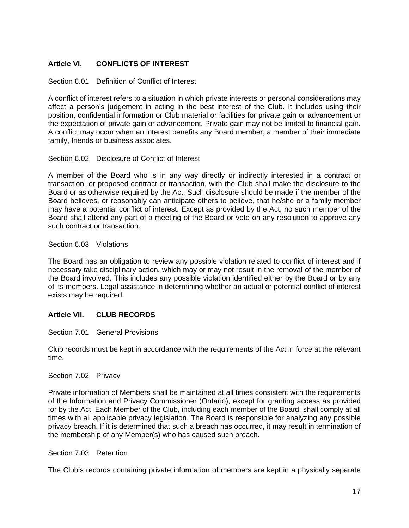# <span id="page-16-0"></span>**Article VI. CONFLICTS OF INTEREST**

## <span id="page-16-1"></span>Section 6.01 Definition of Conflict of Interest

A conflict of interest refers to a situation in which private interests or personal considerations may affect a person's judgement in acting in the best interest of the Club. It includes using their position, confidential information or Club material or facilities for private gain or advancement or the expectation of private gain or advancement. Private gain may not be limited to financial gain. A conflict may occur when an interest benefits any Board member, a member of their immediate family, friends or business associates.

## <span id="page-16-2"></span>Section 6.02 Disclosure of Conflict of Interest

A member of the Board who is in any way directly or indirectly interested in a contract or transaction, or proposed contract or transaction, with the Club shall make the disclosure to the Board or as otherwise required by the Act. Such disclosure should be made if the member of the Board believes, or reasonably can anticipate others to believe, that he/she or a family member may have a potential conflict of interest. Except as provided by the Act, no such member of the Board shall attend any part of a meeting of the Board or vote on any resolution to approve any such contract or transaction.

## <span id="page-16-3"></span>Section 6.03 Violations

The Board has an obligation to review any possible violation related to conflict of interest and if necessary take disciplinary action, which may or may not result in the removal of the member of the Board involved. This includes any possible violation identified either by the Board or by any of its members. Legal assistance in determining whether an actual or potential conflict of interest exists may be required.

# <span id="page-16-4"></span>**Article VII. CLUB RECORDS**

# <span id="page-16-5"></span>Section 7.01 General Provisions

Club records must be kept in accordance with the requirements of the Act in force at the relevant time.

#### <span id="page-16-6"></span>Section 7.02 Privacy

Private information of Members shall be maintained at all times consistent with the requirements of the Information and Privacy Commissioner (Ontario), except for granting access as provided for by the Act. Each Member of the Club, including each member of the Board, shall comply at all times with all applicable privacy legislation. The Board is responsible for analyzing any possible privacy breach. If it is determined that such a breach has occurred, it may result in termination of the membership of any Member(s) who has caused such breach.

#### <span id="page-16-7"></span>Section 7.03 Retention

The Club's records containing private information of members are kept in a physically separate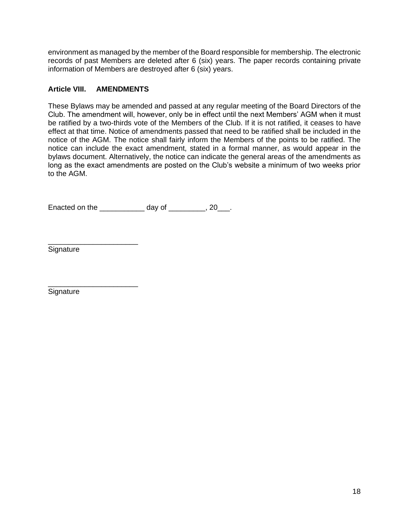environment as managed by the member of the Board responsible for membership. The electronic records of past Members are deleted after 6 (six) years. The paper records containing private information of Members are destroyed after 6 (six) years.

# <span id="page-17-0"></span>**Article VIII. AMENDMENTS**

These Bylaws may be amended and passed at any regular meeting of the Board Directors of the Club. The amendment will, however, only be in effect until the next Members' AGM when it must be ratified by a two-thirds vote of the Members of the Club. If it is not ratified, it ceases to have effect at that time. Notice of amendments passed that need to be ratified shall be included in the notice of the AGM. The notice shall fairly inform the Members of the points to be ratified. The notice can include the exact amendment, stated in a formal manner, as would appear in the bylaws document. Alternatively, the notice can indicate the general areas of the amendments as long as the exact amendments are posted on the Club's website a minimum of two weeks prior to the AGM.

Enacted on the \_\_\_\_\_\_\_\_\_\_\_ day of \_\_\_\_\_\_\_\_\_, 20\_\_\_.

\_\_\_\_\_\_\_\_\_\_\_\_\_\_\_\_\_\_\_\_\_\_ **Signature** 

\_\_\_\_\_\_\_\_\_\_\_\_\_\_\_\_\_\_\_\_\_\_ **Signature**